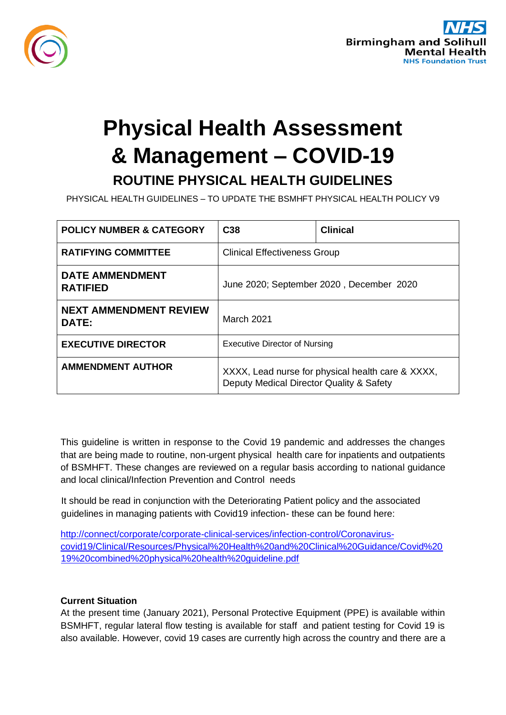

# **Physical Health Assessment & Management – COVID-19 ROUTINE PHYSICAL HEALTH GUIDELINES**

PHYSICAL HEALTH GUIDELINES – TO UPDATE THE BSMHFT PHYSICAL HEALTH POLICY V9

| <b>POLICY NUMBER &amp; CATEGORY</b>       | C <sub>38</sub>                                                                               | <b>Clinical</b> |
|-------------------------------------------|-----------------------------------------------------------------------------------------------|-----------------|
| <b>RATIFYING COMMITTEE</b>                | <b>Clinical Effectiveness Group</b>                                                           |                 |
| <b>DATE AMMENDMENT</b><br><b>RATIFIED</b> | June 2020; September 2020, December 2020                                                      |                 |
| NEXT AMMENDMENT REVIEW<br>DATE:           | March 2021                                                                                    |                 |
| <b>EXECUTIVE DIRECTOR</b>                 | <b>Executive Director of Nursing</b>                                                          |                 |
| <b>AMMENDMENT AUTHOR</b>                  | XXXX, Lead nurse for physical health care & XXXX,<br>Deputy Medical Director Quality & Safety |                 |

This guideline is written in response to the Covid 19 pandemic and addresses the changes that are being made to routine, non-urgent physical health care for inpatients and outpatients of BSMHFT. These changes are reviewed on a regular basis according to national guidance and local clinical/Infection Prevention and Control needs

It should be read in conjunction with the Deteriorating Patient policy and the associated guidelines in managing patients with Covid19 infection- these can be found here:

[http://connect/corporate/corporate-clinical-services/infection-control/Coronavirus](http://connect/corporate/corporate-clinical-services/infection-control/Coronavirus-covid19/Clinical/Resources/Physical%20Health%20and%20Clinical%20Guidance/Covid%2019%20combined%20physical%20health%20guideline.pdf)[covid19/Clinical/Resources/Physical%20Health%20and%20Clinical%20Guidance/Covid%20](http://connect/corporate/corporate-clinical-services/infection-control/Coronavirus-covid19/Clinical/Resources/Physical%20Health%20and%20Clinical%20Guidance/Covid%2019%20combined%20physical%20health%20guideline.pdf)  [19%20combined%20physical%20health%20guideline.pdf](http://connect/corporate/corporate-clinical-services/infection-control/Coronavirus-covid19/Clinical/Resources/Physical%20Health%20and%20Clinical%20Guidance/Covid%2019%20combined%20physical%20health%20guideline.pdf)

## **Current Situation**

At the present time (January 2021), Personal Protective Equipment (PPE) is available within BSMHFT, regular lateral flow testing is available for staff and patient testing for Covid 19 is also available. However, covid 19 cases are currently high across the country and there are a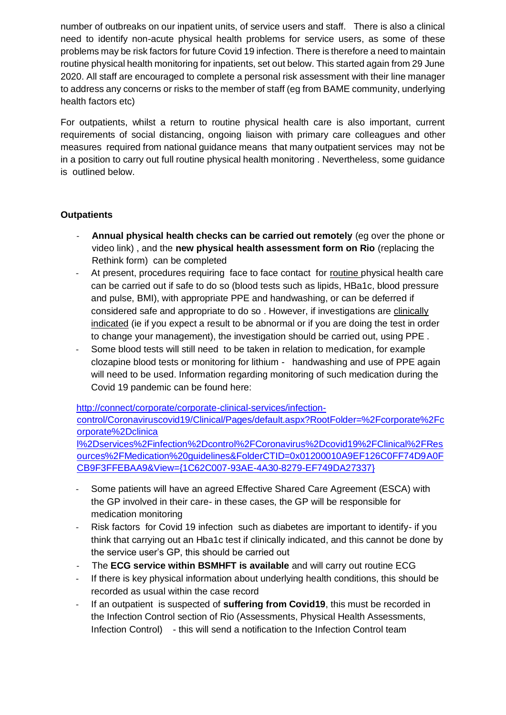number of outbreaks on our inpatient units, of service users and staff. There is also a clinical need to identify non-acute physical health problems for service users, as some of these problems may be risk factors for future Covid 19 infection. There is therefore a need to maintain routine physical health monitoring for inpatients, set out below. This started again from 29 June 2020. All staff are encouraged to complete a personal risk assessment with their line manager to address any concerns or risks to the member of staff (eg from BAME community, underlying health factors etc)

For outpatients, whilst a return to routine physical health care is also important, current requirements of social distancing, ongoing liaison with primary care colleagues and other measures required from national guidance means that many outpatient services may not be in a position to carry out full routine physical health monitoring . Nevertheless, some guidance is outlined below.

## **Outpatients**

- **Annual physical health checks can be carried out remotely** (eg over the phone or video link) , and the **new physical health assessment form on Rio** (replacing the Rethink form) can be completed
- At present, procedures requiring face to face contact for routine physical health care can be carried out if safe to do so (blood tests such as lipids, HBa1c, blood pressure and pulse, BMI), with appropriate PPE and handwashing, or can be deferred if considered safe and appropriate to do so . However, if investigations are clinically indicated (ie if you expect a result to be abnormal or if you are doing the test in order to change your management), the investigation should be carried out, using PPE .
- Some blood tests will still need to be taken in relation to medication, for example clozapine blood tests or monitoring for lithium - handwashing and use of PPE again will need to be used. Information regarding monitoring of such medication during the Covid 19 pandemic can be found here:

[http://connect/corporate/corporate-clinical-services/infection](http://connect/corporate/corporate-clinical-services/infection-control/Coronavirus-covid19/Clinical/Pages/default.aspx?RootFolder=%2Fcorporate%2Fcorporate%2Dclinical%2Dservices%2Finfection%2Dcontrol%2FCoronavirus%2Dcovid19%2FClinical%2FResources%2FMedication%20guidelines&FolderCTID=0x01200010A9EF126C0FF74D9A0FCB9F3FFEBAA9&View=%7b1C62C007-93AE-4A30-8279-EF749DA27337%7d)[control/Coronaviruscovid19/Clinical/Pages/default.aspx?RootFolder=%2Fcorporate%2Fc](http://connect/corporate/corporate-clinical-services/infection-control/Coronavirus-covid19/Clinical/Pages/default.aspx?RootFolder=%2Fcorporate%2Fcorporate%2Dclinical%2Dservices%2Finfection%2Dcontrol%2FCoronavirus%2Dcovid19%2FClinical%2FResources%2FMedication%20guidelines&FolderCTID=0x01200010A9EF126C0FF74D9A0FCB9F3FFEBAA9&View=%7b1C62C007-93AE-4A30-8279-EF749DA27337%7d) [orporate%2Dclinica](http://connect/corporate/corporate-clinical-services/infection-control/Coronavirus-covid19/Clinical/Pages/default.aspx?RootFolder=%2Fcorporate%2Fcorporate%2Dclinical%2Dservices%2Finfection%2Dcontrol%2FCoronavirus%2Dcovid19%2FClinical%2FResources%2FMedication%20guidelines&FolderCTID=0x01200010A9EF126C0FF74D9A0FCB9F3FFEBAA9&View=%7b1C62C007-93AE-4A30-8279-EF749DA27337%7d) 

[l%2Dservices%2Finfection%2Dcontrol%2FCoronavirus%2Dcovid19%2FClinical%2FRes](http://connect/corporate/corporate-clinical-services/infection-control/Coronavirus-covid19/Clinical/Pages/default.aspx?RootFolder=%2Fcorporate%2Fcorporate%2Dclinical%2Dservices%2Finfection%2Dcontrol%2FCoronavirus%2Dcovid19%2FClinical%2FResources%2FMedication%20guidelines&FolderCTID=0x01200010A9EF126C0FF74D9A0FCB9F3FFEBAA9&View=%7b1C62C007-93AE-4A30-8279-EF749DA27337%7d)  [ources%2FMedication%20guidelines&FolderCTID=0x01200010A9EF126C0FF74D9A0F](http://connect/corporate/corporate-clinical-services/infection-control/Coronavirus-covid19/Clinical/Pages/default.aspx?RootFolder=%2Fcorporate%2Fcorporate%2Dclinical%2Dservices%2Finfection%2Dcontrol%2FCoronavirus%2Dcovid19%2FClinical%2FResources%2FMedication%20guidelines&FolderCTID=0x01200010A9EF126C0FF74D9A0FCB9F3FFEBAA9&View=%7b1C62C007-93AE-4A30-8279-EF749DA27337%7d)  [CB9F3FFEBAA9&View={1C62C007-93AE-4A30-8279-EF749DA27337}](http://connect/corporate/corporate-clinical-services/infection-control/Coronavirus-covid19/Clinical/Pages/default.aspx?RootFolder=%2Fcorporate%2Fcorporate%2Dclinical%2Dservices%2Finfection%2Dcontrol%2FCoronavirus%2Dcovid19%2FClinical%2FResources%2FMedication%20guidelines&FolderCTID=0x01200010A9EF126C0FF74D9A0FCB9F3FFEBAA9&View=%7b1C62C007-93AE-4A30-8279-EF749DA27337%7d)

- Some patients will have an agreed Effective Shared Care Agreement (ESCA) with the GP involved in their care- in these cases, the GP will be responsible for medication monitoring
- Risk factors for Covid 19 infection such as diabetes are important to identify- if you think that carrying out an Hba1c test if clinically indicated, and this cannot be done by the service user's GP, this should be carried out
- The **ECG service within BSMHFT is available** and will carry out routine ECG
- If there is key physical information about underlying health conditions, this should be recorded as usual within the case record
- If an outpatient is suspected of suffering from Covid19, this must be recorded in the Infection Control section of Rio (Assessments, Physical Health Assessments, Infection Control) - this will send a notification to the Infection Control team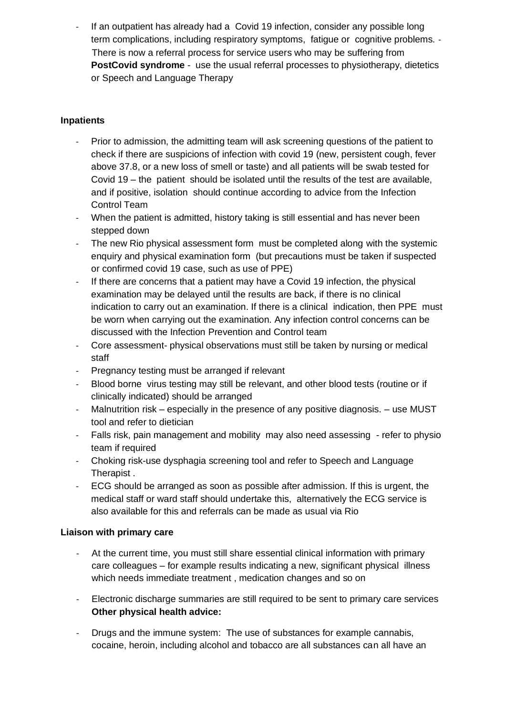If an outpatient has already had a Covid 19 infection, consider any possible long term complications, including respiratory symptoms, fatigue or cognitive problems. - There is now a referral process for service users who may be suffering from **PostCovid syndrome** - use the usual referral processes to physiotherapy, dietetics or Speech and Language Therapy

## **Inpatients**

- Prior to admission, the admitting team will ask screening questions of the patient to check if there are suspicions of infection with covid 19 (new, persistent cough, fever above 37.8, or a new loss of smell or taste) and all patients will be swab tested for Covid 19 – the patient should be isolated until the results of the test are available, and if positive, isolation should continue according to advice from the Infection Control Team
- When the patient is admitted, history taking is still essential and has never been stepped down
- The new Rio physical assessment form must be completed along with the systemic enquiry and physical examination form (but precautions must be taken if suspected or confirmed covid 19 case, such as use of PPE)
- If there are concerns that a patient may have a Covid 19 infection, the physical examination may be delayed until the results are back, if there is no clinical indication to carry out an examination. If there is a clinical indication, then PPE must be worn when carrying out the examination. Any infection control concerns can be discussed with the Infection Prevention and Control team
- Core assessment- physical observations must still be taken by nursing or medical staff
- Pregnancy testing must be arranged if relevant
- Blood borne virus testing may still be relevant, and other blood tests (routine or if clinically indicated) should be arranged
- Malnutrition risk especially in the presence of any positive diagnosis.  $-$  use MUST tool and refer to dietician
- Falls risk, pain management and mobility may also need assessing refer to physio team if required
- Choking risk-use dysphagia screening tool and refer to Speech and Language Therapist .
- ECG should be arranged as soon as possible after admission. If this is urgent, the medical staff or ward staff should undertake this, alternatively the ECG service is also available for this and referrals can be made as usual via Rio

## **Liaison with primary care**

- At the current time, you must still share essential clinical information with primary care colleagues – for example results indicating a new, significant physical illness which needs immediate treatment , medication changes and so on
- Electronic discharge summaries are still required to be sent to primary care services **Other physical health advice:**
- Drugs and the immune system: The use of substances for example cannabis, cocaine, heroin, including alcohol and tobacco are all substances can all have an